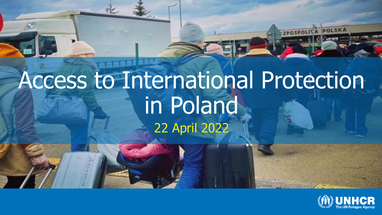# Access to International Protection in Poland 22 April 2022



POLSK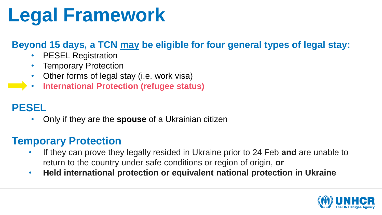# **Legal Framework**

### **Beyond 15 days, a TCN may be eligible for four general types of legal stay:**

- **PESEL Registration**
- Temporary Protection
- Other forms of legal stay (i.e. work visa)
- **International Protection (refugee status)**

### **PESEL**

• Only if they are the **spouse** of a Ukrainian citizen

### **Temporary Protection**

- If they can prove they legally resided in Ukraine prior to 24 Feb **and** are unable to return to the country under safe conditions or region of origin, **or**
- **Held international protection or equivalent national protection in Ukraine**

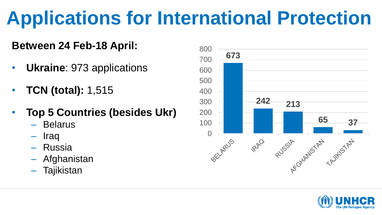# **Applications for International Protection**

### **Between 24 Feb-18 April:**

- **Ukraine**: 973 applications
- **TCN (total):** 1,515
- **Top 5 Countries (besides Ukr)** 
	- Belarus
	- Iraq
	- Russia
	- Afghanistan
	- **Tajikistan**



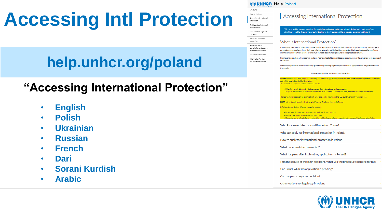# **Accessing Intl Protection**

## **help.unhcr.org/poland**

## **"Accessing International Protection"**

- **English**
- **Polish**
- **Ukrainian**
- **Russian**
- **French**
- **Dari**
- **Sorani Kurdish**
- **Arabic**

#### (M) UNHCR Help Poland

| Welcome                                                               |
|-----------------------------------------------------------------------|
| How to find help                                                      |
| Accessing International<br>Protection                                 |
| Rights and obligations of<br>asylum-seekers<br>è                      |
| Services for recognized<br>refusees<br>ć                              |
| Reporting fraud and<br>corruntion                                     |
| Reporting sexual<br>exploitation and abuse by<br>humanikarian workers |
| COVID-10 resources                                                    |
| Leffered Affair for Mary.                                             |

Anti-air Roses | Institute

#### Accessing International Protection

This page provides a general overview of access to international protection procedures in Poland and other forms of legal stoy. Where possible, always try to consult with a lawyer about your case. (A list of available lawyers available bene

#### What is International Protection?

Other options for legal stay in Poland

A person may be in need of international protection if they are afraid to return to their country of origin because they are in danger of persecution or serious harm due to their race, religion, nationality, political opinion, or membership in a political social group. Under international and Polish law, specific criteria must be met to determine eligibility to be recognized as a refugee.

International protection allows a person to stay in Poland instead of being sent back to a country where they are afraid to go because of persecution.

International protection is not automatically granted. People hoping to get this protection must apply and show the government that **How mislify** 

#### Not everyone qualifies for international protection.

| In the European Union (EU), only one EU country can review an application for international protection, usually the first country of<br>entry. This is called the Dublin Regulation. |  |
|--------------------------------------------------------------------------------------------------------------------------------------------------------------------------------------|--|
| This means that if a person first enters the EU in Poland:                                                                                                                           |  |
| - Poland is the only EU country that can review their international protection claim.                                                                                                |  |
| . They will likely be sent back to Poland if they travel to another EU country and apply for international protection there.                                                         |  |
| There are limited exceptions to this rule (such as holding a valid visa for another EU country, or family reunification).                                                            |  |
| NOTE: International protection is often called "asvium". This is not the case in Poland.                                                                                             |  |
| In Poland, the law defines different types of protection:                                                                                                                            |  |
| - International protection - refugee status and subsidiary protection                                                                                                                |  |
| - Asylum - a separate, national form of protection<br>- Humanitarian or tolerated stay - national form of legalization of stay in case there is no possibility of deportation/return |  |
| Who can apply for international protection in Poland?                                                                                                                                |  |
| How to apply for international protection in Poland                                                                                                                                  |  |
| What documentation is needed?                                                                                                                                                        |  |
| What happens after I submit my application in Poland?                                                                                                                                |  |
|                                                                                                                                                                                      |  |
| I am the spouse of the main applicant. What will the procedure look like for me?                                                                                                     |  |
| Can I work while my application is pending?                                                                                                                                          |  |
| Can I appeal a negative decision?                                                                                                                                                    |  |

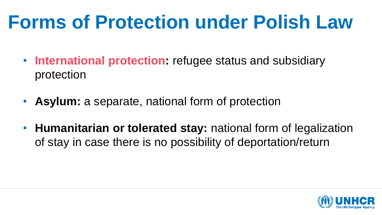## **Forms of Protection under Polish Law**

- **International protection:** refugee status and subsidiary protection
- **Asylum:** a separate, national form of protection
- **Humanitarian or tolerated stay:** national form of legalization of stay in case there is no possibility of deportation/return

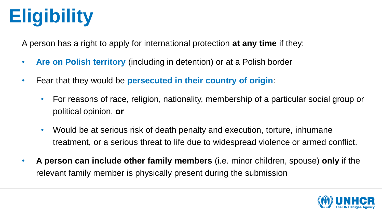# **Eligibility**

A person has a right to apply for international protection **at any time** if they:

- **Are on Polish territory** (including in detention) or at a Polish border
- Fear that they would be **persecuted in their country of origin**:
	- For reasons of race, religion, nationality, membership of a particular social group or political opinion, **or**
	- Would be at serious risk of death penalty and execution, torture, inhumane treatment, or a serious threat to life due to widespread violence or armed conflict.
- **A person can include other family members** (i.e. minor children, spouse) **only** if the relevant family member is physically present during the submission

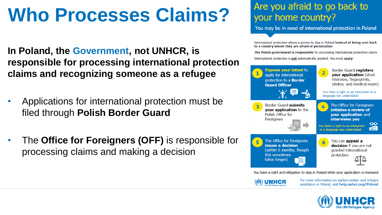## **Who Processes Claims?**

**In Poland, the Government, not UNHCR, is responsible for processing international protection claims and recognizing someone as a refugee**

- Applications for international protection must be filed through **Polish Border Guard**
- The **Office for Foreigners (OFF)** is responsible for processing claims and making a decision

### Are you afraid to go back to your home country?

You may be in need of international protection in Poland

International protection allows a person to stay in Poland instead of being sent back to a country where they are afraid of persecution

The Polish government is responsible for processing international protection claims

International protection is not automatically granted. You must apply:



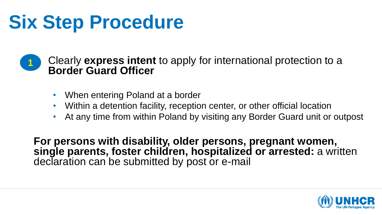## **Six Step Procedure**



• Clearly **express intent** to apply for international protection to a **Border Guard Officer**

- When entering Poland at a border
- Within a detention facility, reception center, or other official location
- At any time from within Poland by visiting any Border Guard unit or outpost

**For persons with disability, older persons, pregnant women, single parents, foster children, hospitalized or arrested:** a written declaration can be submitted by post or e-mail

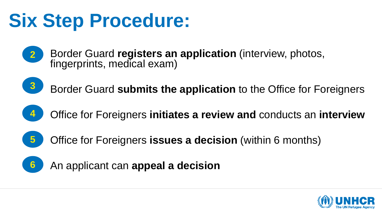## **Six Step Procedure:**



Border Guard **registers an application** (interview, photos, fingerprints, medical exam)



Border Guard **submits the application** to the Office for Foreigners



Office for Foreigners **initiates a review and** conducts an **interview**



Office for Foreigners **issues a decision** (within 6 months)



An applicant can **appeal a decision**

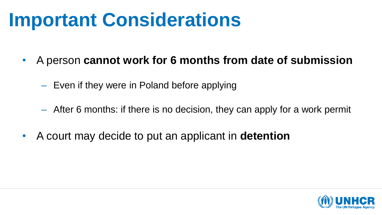## **Important Considerations**

- A person **cannot work for 6 months from date of submission**
	- Even if they were in Poland before applying
	- After 6 months: if there is no decision, they can apply for a work permit
- A court may decide to put an applicant in **detention**